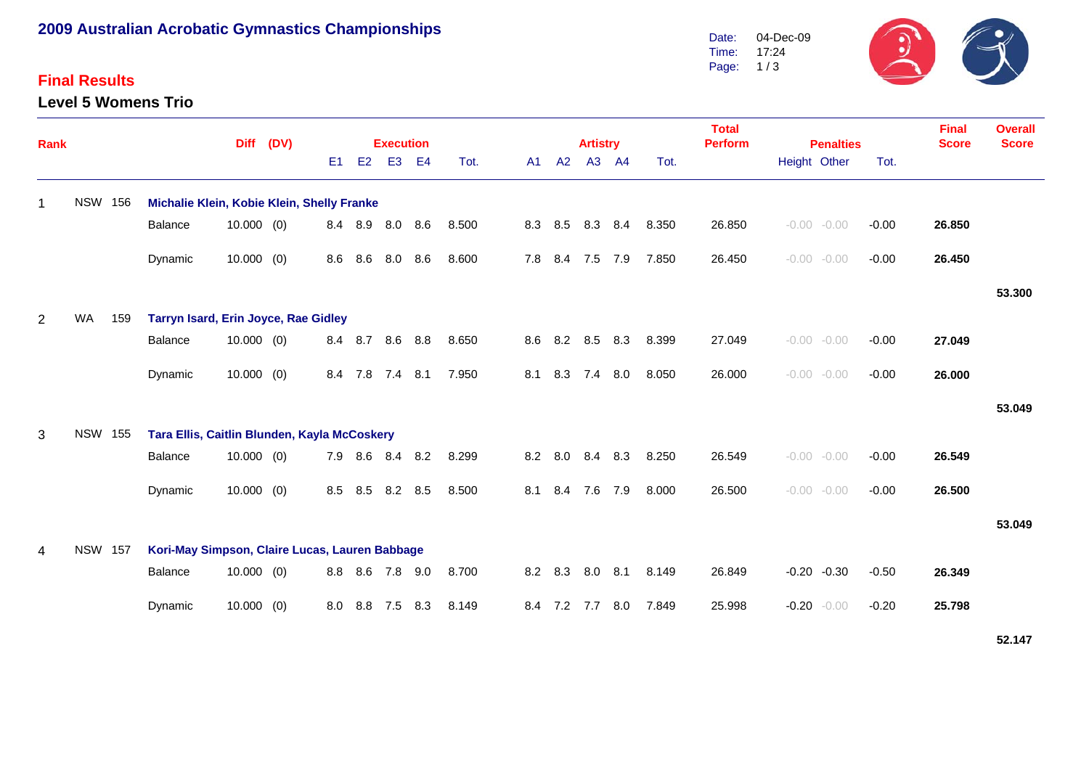# **2009 Australian Acrobatic Gymnastics Championships**

### **Final Results**

**Level 5 Womens Trio**



| Rank           |                |     |                                                | <b>Diff</b>                                  | (DV) |                |     |                |     |       | <b>Artistry</b> |         |             | <b>Total</b><br><b>Perform</b> | <b>Penalties</b> |       |        | <b>Final</b><br><b>Score</b> | <b>Overall</b><br><b>Score</b> |         |        |        |
|----------------|----------------|-----|------------------------------------------------|----------------------------------------------|------|----------------|-----|----------------|-----|-------|-----------------|---------|-------------|--------------------------------|------------------|-------|--------|------------------------------|--------------------------------|---------|--------|--------|
|                |                |     |                                                |                                              |      | E <sub>1</sub> | E2  | E <sub>3</sub> | E4  | Tot.  |                 | A1      | A2          | A3                             | AA               | Tot.  |        | Height Other                 |                                | Tot.    |        |        |
| -1             | <b>NSW 156</b> |     | Michalie Klein, Kobie Klein, Shelly Franke     |                                              |      |                |     |                |     |       |                 |         |             |                                |                  |       |        |                              |                                |         |        |        |
|                |                |     | Balance                                        | $10.000$ (0)                                 |      | 8.4            | 8.9 | 8.0            | 8.6 | 8.500 |                 | 8.3 8.5 |             | 8.3                            | 8.4              | 8.350 | 26.850 | $-0.00 - 0.00$               |                                | $-0.00$ | 26.850 |        |
|                |                |     | Dynamic                                        | $10.000$ (0)                                 |      | 8.6            | 8.6 | 8.0            | 8.6 | 8.600 |                 | 7.8     | 8.4         | 7.5                            | 7.9              | 7.850 | 26.450 | $-0.00 - 0.00$               |                                | $-0.00$ | 26.450 |        |
|                |                |     |                                                |                                              |      |                |     |                |     |       |                 |         |             |                                |                  |       |        |                              |                                |         |        | 53.300 |
| $\overline{2}$ | <b>WA</b>      | 159 | Tarryn Isard, Erin Joyce, Rae Gidley           |                                              |      |                |     |                |     |       |                 |         |             |                                |                  |       |        |                              |                                |         |        |        |
|                |                |     | Balance                                        | $10.000$ (0)                                 |      | 8.4            | 8.7 | 8.6            | 8.8 | 8.650 |                 | 8.6 8.2 |             | 8.5                            | 8.3              | 8.399 | 27.049 | $-0.00 - 0.00$               |                                | $-0.00$ | 27.049 |        |
|                |                |     | Dynamic                                        | $10.000$ (0)                                 |      | 8.4            | 7.8 | $7.4$ 8.1      |     | 7.950 |                 | 8.1     | 8.3         | 7.4                            | 8.0              | 8.050 | 26.000 | $-0.00 - 0.00$               |                                | $-0.00$ | 26.000 |        |
|                |                |     |                                                |                                              |      |                |     |                |     |       |                 |         |             |                                |                  |       |        |                              |                                |         |        | 53.049 |
| 3              | <b>NSW 155</b> |     |                                                | Tara Ellis, Caitlin Blunden, Kayla McCoskery |      |                |     |                |     |       |                 |         |             |                                |                  |       |        |                              |                                |         |        |        |
|                |                |     | Balance                                        | $10.000$ (0)                                 |      | 7.9            | 8.6 | 8.4            | 8.2 | 8.299 |                 |         | 8.2 8.0     |                                | 8.4 8.3          | 8.250 | 26.549 | $-0.00 - 0.00$               |                                | $-0.00$ | 26.549 |        |
|                |                |     | Dynamic                                        | $10.000$ (0)                                 |      | 8.5            | 8.5 | 8.2            | 8.5 | 8.500 |                 | 8.1     | 8.4         | 7.6                            | 7.9              | 8.000 | 26.500 | $-0.00 - 0.00$               |                                | $-0.00$ | 26.500 |        |
|                |                |     |                                                |                                              |      |                |     |                |     |       |                 |         |             |                                |                  |       |        |                              |                                |         |        | 53.049 |
| 4              | <b>NSW 157</b> |     | Kori-May Simpson, Claire Lucas, Lauren Babbage |                                              |      |                |     |                |     |       |                 |         |             |                                |                  |       |        |                              |                                |         |        |        |
|                |                |     | Balance                                        | $10.000$ (0)                                 |      | 8.8            | 8.6 | 7.8 9.0        |     | 8.700 |                 |         | 8.2 8.3     | 8.0                            | 8.1              | 8.149 | 26.849 | $-0.20 -0.30$                |                                | $-0.50$ | 26.349 |        |
|                |                |     | Dynamic                                        | $10.000$ (0)                                 |      | 8.0            | 8.8 | 7.5            | 8.3 | 8.149 |                 |         | 8.4 7.2 7.7 |                                | 8.0              | 7.849 | 25.998 | $-0.20$                      | $-0.00$                        | $-0.20$ | 25.798 |        |

**52.147**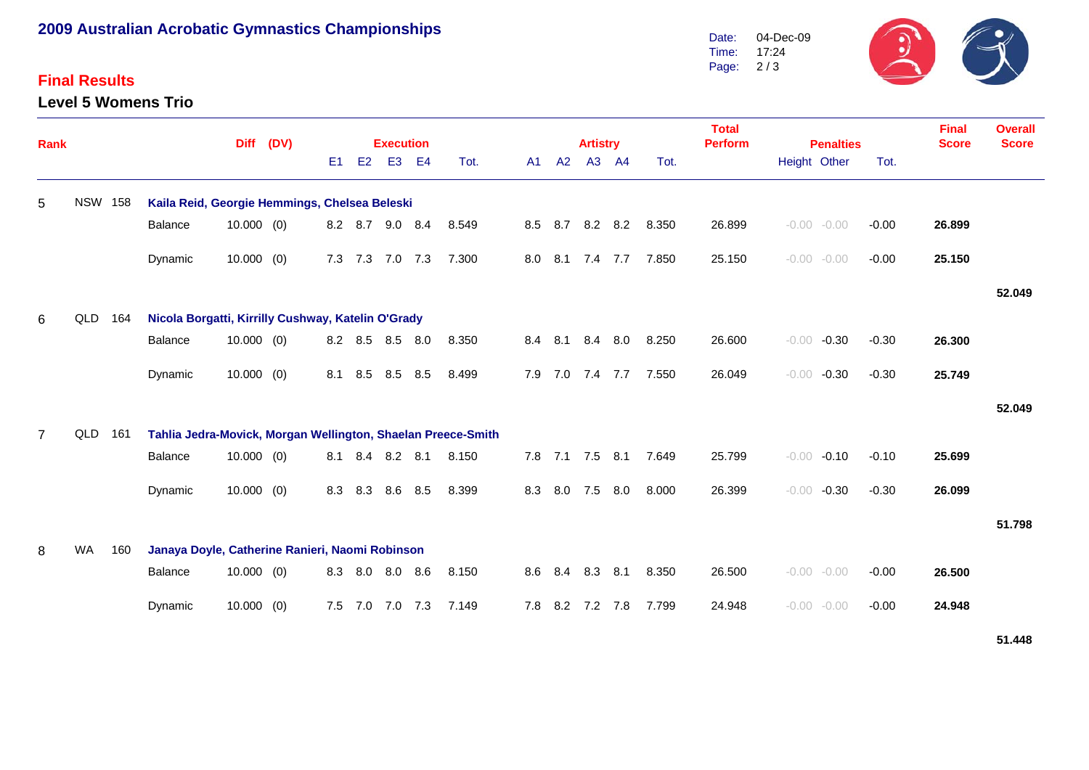# **2009 Australian Acrobatic Gymnastics Championships**

### **Final Results**

**Level 5 Womens Trio**



| Rank           |                |     |                                                    | <b>Diff</b>                                                  | (DV) |                |                | <b>Execution</b> |                |       |  |     |                 | <b>Artistry</b> |           |       | <b>Total</b><br><b>Perform</b><br><b>Penalties</b> |                    |         | <b>Final</b><br><b>Score</b> | <b>Overall</b><br><b>Score</b> |
|----------------|----------------|-----|----------------------------------------------------|--------------------------------------------------------------|------|----------------|----------------|------------------|----------------|-------|--|-----|-----------------|-----------------|-----------|-------|----------------------------------------------------|--------------------|---------|------------------------------|--------------------------------|
|                |                |     |                                                    |                                                              |      | E <sub>1</sub> | E <sub>2</sub> | E <sub>3</sub>   | E <sub>4</sub> | Tot.  |  | A1  | A2              | A3              | <b>A4</b> | Tot.  |                                                    | Height Other       | Tot.    |                              |                                |
| 5              | <b>NSW 158</b> |     | Kaila Reid, Georgie Hemmings, Chelsea Beleski      |                                                              |      |                |                |                  |                |       |  |     |                 |                 |           |       |                                                    |                    |         |                              |                                |
|                |                |     | Balance                                            | $10.000$ (0)                                                 |      |                | 8.2 8.7        | 9.0 8.4          |                | 8.549 |  |     | 8.5 8.7         |                 | 8.2 8.2   | 8.350 | 26.899                                             | $-0.00 - 0.00$     | $-0.00$ | 26.899                       |                                |
|                |                |     | Dynamic                                            | $10.000$ (0)                                                 |      | 7.3            | 7.3            | 7.0 7.3          |                | 7.300 |  | 8.0 | 8.1             | 7.4 7.7         |           | 7.850 | 25.150                                             | $-0.00 - 0.00$     | $-0.00$ | 25.150                       |                                |
|                |                |     |                                                    |                                                              |      |                |                |                  |                |       |  |     |                 |                 |           |       |                                                    |                    |         |                              | 52.049                         |
| 6              | QLD            | 164 | Nicola Borgatti, Kirrilly Cushway, Katelin O'Grady |                                                              |      |                |                |                  |                |       |  |     |                 |                 |           |       |                                                    |                    |         |                              |                                |
|                |                |     | Balance                                            | $10.000$ (0)                                                 |      |                |                | 8.2 8.5 8.5 8.0  |                | 8.350 |  |     | 8.4 8.1         | 8.4             | 8.0       | 8.250 | 26.600                                             | $-0.00$<br>$-0.30$ | $-0.30$ | 26.300                       |                                |
|                |                |     | Dynamic                                            | 10.000(0)                                                    |      | 8.1            | 8.5            | 8.5              | 8.5            | 8.499 |  |     | 7.9 7.0 7.4 7.7 |                 |           | 7.550 | 26.049                                             | $-0.00$<br>$-0.30$ | $-0.30$ | 25.749                       |                                |
|                |                |     |                                                    |                                                              |      |                |                |                  |                |       |  |     |                 |                 |           |       |                                                    |                    |         |                              | 52.049                         |
| $\overline{7}$ | QLD            | 161 |                                                    | Tahlia Jedra-Movick, Morgan Wellington, Shaelan Preece-Smith |      |                |                |                  |                |       |  |     |                 |                 |           |       |                                                    |                    |         |                              |                                |
|                |                |     | Balance                                            | $10.000$ (0)                                                 |      |                | 8.1 8.4        | 8.2 8.1          |                | 8.150 |  |     | 7.8 7.1 7.5 8.1 |                 |           | 7.649 | 25.799                                             | $-0.00$<br>$-0.10$ | $-0.10$ | 25.699                       |                                |
|                |                |     | Dynamic                                            | $10.000$ (0)                                                 |      | 8.3            | 8.3            | 8.6              | 8.5            | 8.399 |  |     | 8.3 8.0 7.5     |                 | 8.0       | 8.000 | 26.399                                             | $-0.00$<br>$-0.30$ | $-0.30$ | 26.099                       |                                |
|                |                |     |                                                    |                                                              |      |                |                |                  |                |       |  |     |                 |                 |           |       |                                                    |                    |         |                              | 51.798                         |
| 8              | <b>WA</b>      | 160 | Janaya Doyle, Catherine Ranieri, Naomi Robinson    |                                                              |      |                |                |                  |                |       |  |     |                 |                 |           |       |                                                    |                    |         |                              |                                |
|                |                |     | Balance                                            | $10.000$ (0)                                                 |      |                |                | 8.3 8.0 8.0 8.6  |                | 8.150 |  |     | 8.6 8.4 8.3 8.1 |                 |           | 8.350 | 26.500                                             | $-0.00 - 0.00$     | $-0.00$ | 26.500                       |                                |
|                |                |     | Dynamic                                            | $10.000$ (0)                                                 |      |                |                | 7.5 7.0 7.0 7.3  |                | 7.149 |  |     | 7.8 8.2 7.2 7.8 |                 |           | 7.799 | 24.948                                             | $-0.00$<br>$-0.00$ | $-0.00$ | 24.948                       |                                |

**51.448**